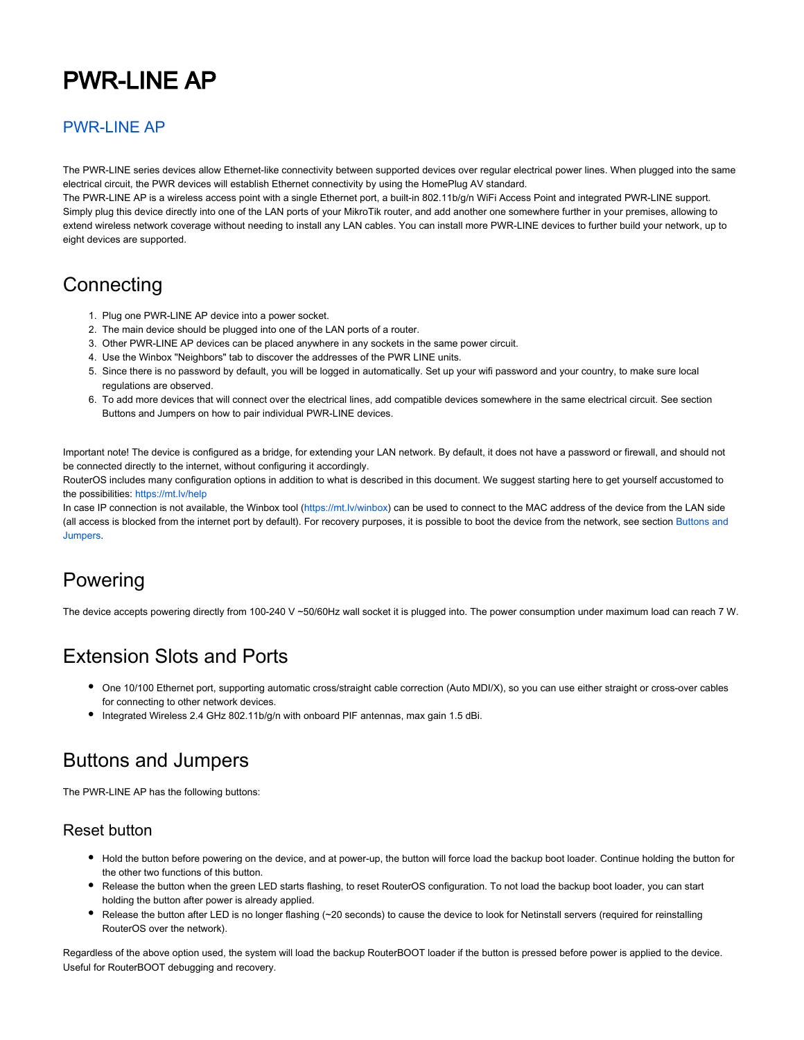# PWR-LINE AP

#### [PWR-LINE AP](https://mikrotik.com/product/pwr_line_ap)

The PWR-LINE series devices allow Ethernet-like connectivity between supported devices over regular electrical power lines. When plugged into the same electrical circuit, the PWR devices will establish Ethernet connectivity by using the HomePlug AV standard.

The PWR-LINE AP is a wireless access point with a single Ethernet port, a built-in 802.11b/g/n WiFi Access Point and integrated PWR-LINE support. Simply plug this device directly into one of the LAN ports of your MikroTik router, and add another one somewhere further in your premises, allowing to extend wireless network coverage without needing to install any LAN cables. You can install more PWR-LINE devices to further build your network, up to eight devices are supported.

#### **Connecting**

- 1. Plug one PWR-LINE AP device into a power socket.
- 2. The main device should be plugged into one of the LAN ports of a router.
- 3. Other PWR-LINE AP devices can be placed anywhere in any sockets in the same power circuit.
- 4. Use the Winbox "Neighbors" tab to discover the addresses of the PWR LINE units.
- 5. Since there is no password by default, you will be logged in automatically. Set up your wifi password and your country, to make sure local regulations are observed.
- 6. To add more devices that will connect over the electrical lines, add compatible devices somewhere in the same electrical circuit. See section Buttons and Jumpers on how to pair individual PWR-LINE devices.

Important note! The device is configured as a bridge, for extending your LAN network. By default, it does not have a password or firewall, and should not be connected directly to the internet, without configuring it accordingly.

RouterOS includes many configuration options in addition to what is described in this document. We suggest starting here to get yourself accustomed to the possibilities: <https://mt.lv/help>

In case IP connection is not available, the Winbox tool (<https://mt.lv/winbox>) can be used to connect to the MAC address of the device from the LAN side (all access is blocked from the internet port by default). For recovery purposes, it is possible to boot the device from the network, see section Buttons and Jumpers.

#### Powering

The device accepts powering directly from 100-240 V ~50/60Hz wall socket it is plugged into. The power consumption under maximum load can reach 7 W.

#### Extension Slots and Ports

- One 10/100 Ethernet port, supporting automatic cross/straight cable correction (Auto MDI/X), so you can use either straight or cross-over cables for connecting to other network devices.
- Integrated Wireless 2.4 GHz 802.11b/g/n with onboard PIF antennas, max gain 1.5 dBi.

## Buttons and Jumpers

The PWR-LINE AP has the following buttons:

#### Reset button

- Hold the button before powering on the device, and at power-up, the button will force load the backup boot loader. Continue holding the button for the other two functions of this button.
- Release the button when the green LED starts flashing, to reset RouterOS configuration. To not load the backup boot loader, you can start holding the button after power is already applied.
- Release the button after LED is no longer flashing (~20 seconds) to cause the device to look for Netinstall servers (required for reinstalling RouterOS over the network).

Regardless of the above option used, the system will load the backup RouterBOOT loader if the button is pressed before power is applied to the device. Useful for RouterBOOT debugging and recovery.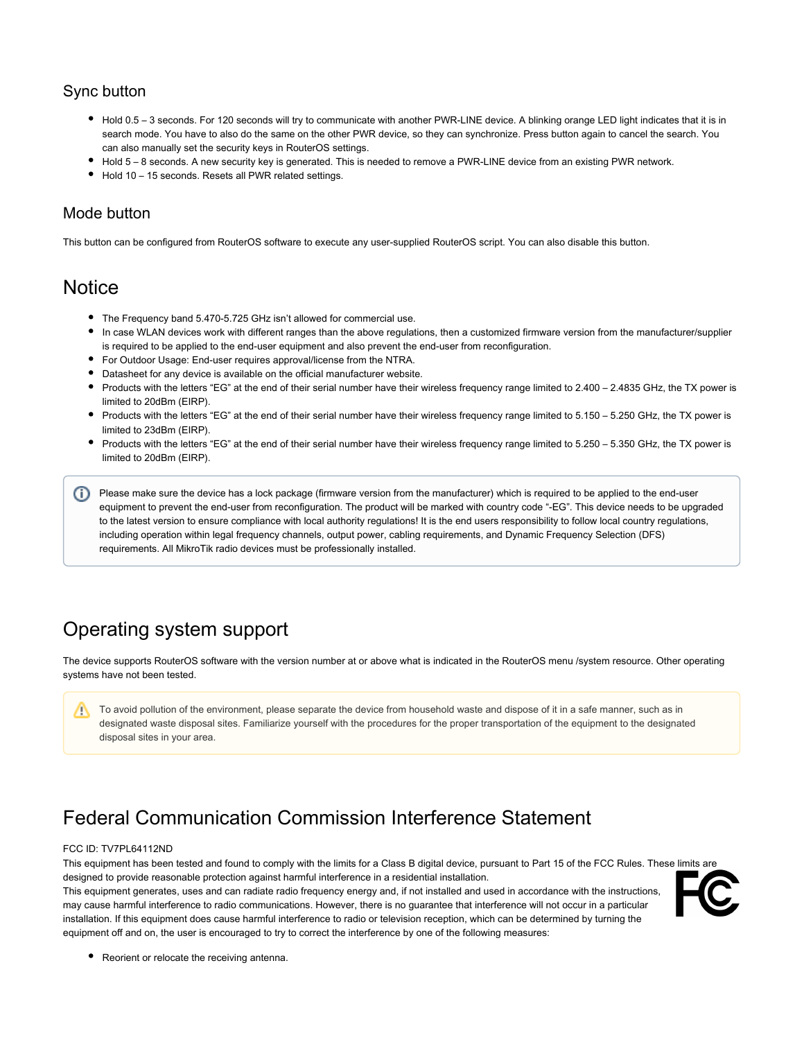#### Sync button

- Hold 0.5 3 seconds. For 120 seconds will try to communicate with another PWR-LINE device. A blinking orange LED light indicates that it is in search mode. You have to also do the same on the other PWR device, so they can synchronize. Press button again to cancel the search. You can also manually set the security keys in RouterOS settings.
- Hold 5 8 seconds. A new security key is generated. This is needed to remove a PWR-LINE device from an existing PWR network.
- Hold 10 15 seconds. Resets all PWR related settings.

#### Mode button

This button can be configured from RouterOS software to execute any user-supplied RouterOS script. You can also disable this button.

#### **Notice**

- The Frequency band 5.470-5.725 GHz isn't allowed for commercial use.
- In case WLAN devices work with different ranges than the above regulations, then a customized firmware version from the manufacturer/supplier is required to be applied to the end-user equipment and also prevent the end-user from reconfiguration.
- For Outdoor Usage: End-user requires approval/license from the NTRA.
- Datasheet for any device is available on the official manufacturer website.
- Products with the letters "EG" at the end of their serial number have their wireless frequency range limited to 2.400 2.4835 GHz, the TX power is limited to 20dBm (EIRP).
- Products with the letters "EG" at the end of their serial number have their wireless frequency range limited to 5.150 5.250 GHz, the TX power is limited to 23dBm (EIRP).
- Products with the letters "EG" at the end of their serial number have their wireless frequency range limited to 5.250 5.350 GHz, the TX power is limited to 20dBm (EIRP).

Please make sure the device has a lock package (firmware version from the manufacturer) which is required to be applied to the end-user equipment to prevent the end-user from reconfiguration. The product will be marked with country code "-EG". This device needs to be upgraded to the latest version to ensure compliance with local authority regulations! It is the end users responsibility to follow local country regulations, including operation within legal frequency channels, output power, cabling requirements, and Dynamic Frequency Selection (DFS) requirements. All MikroTik radio devices must be professionally installed.

## Operating system support

The device supports RouterOS software with the version number at or above what is indicated in the RouterOS menu /system resource. Other operating systems have not been tested.

To avoid pollution of the environment, please separate the device from household waste and dispose of it in a safe manner, such as in Λ designated waste disposal sites. Familiarize yourself with the procedures for the proper transportation of the equipment to the designated disposal sites in your area.

## Federal Communication Commission Interference Statement

#### FCC ID: TV7PL64112ND

This equipment has been tested and found to comply with the limits for a Class B digital device, pursuant to Part 15 of the FCC Rules. These limits are designed to provide reasonable protection against harmful interference in a residential installation.

This equipment generates, uses and can radiate radio frequency energy and, if not installed and used in accordance with the instructions, may cause harmful interference to radio communications. However, there is no guarantee that interference will not occur in a particular installation. If this equipment does cause harmful interference to radio or television reception, which can be determined by turning the equipment off and on, the user is encouraged to try to correct the interference by one of the following measures:



• Reorient or relocate the receiving antenna.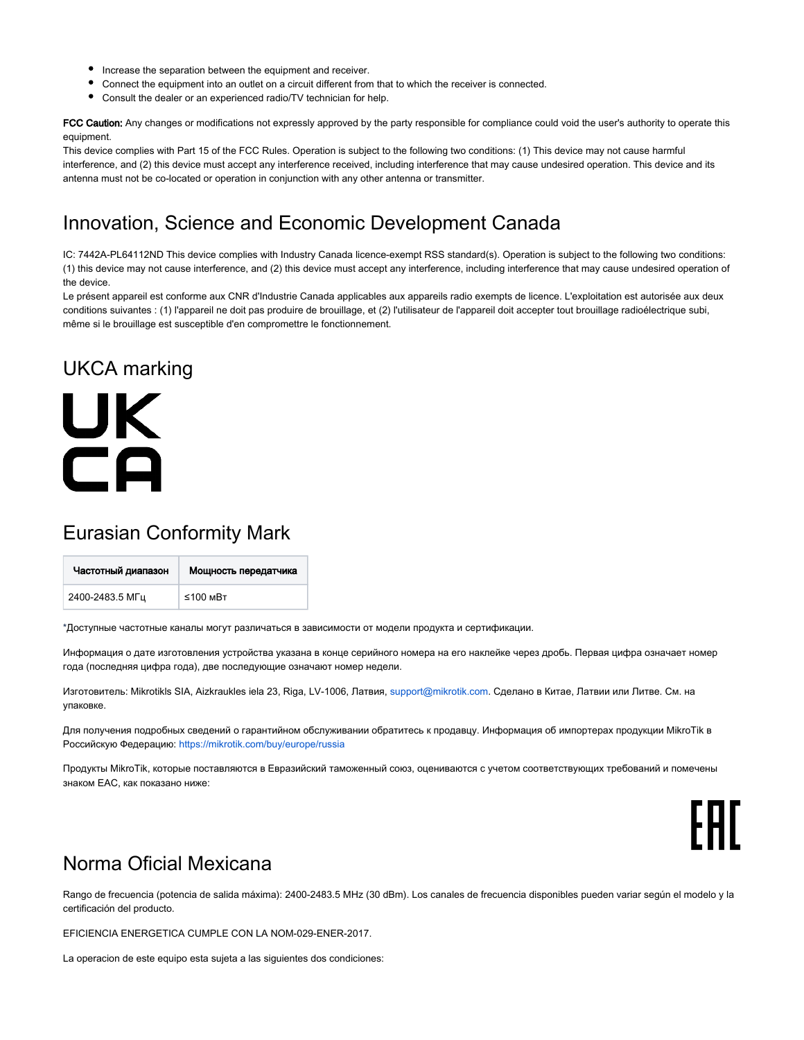- ٠ Increase the separation between the equipment and receiver.
- Connect the equipment into an outlet on a circuit different from that to which the receiver is connected.
- Consult the dealer or an experienced radio/TV technician for help.

FCC Caution: Any changes or modifications not expressly approved by the party responsible for compliance could void the user's authority to operate this equipment.

This device complies with Part 15 of the FCC Rules. Operation is subject to the following two conditions: (1) This device may not cause harmful interference, and (2) this device must accept any interference received, including interference that may cause undesired operation. This device and its antenna must not be co-located or operation in conjunction with any other antenna or transmitter.

### Innovation, Science and Economic Development Canada

IC: 7442A-PL64112ND This device complies with Industry Canada licence-exempt RSS standard(s). Operation is subject to the following two conditions: (1) this device may not cause interference, and (2) this device must accept any interference, including interference that may cause undesired operation of the device.

Le présent appareil est conforme aux CNR d'Industrie Canada applicables aux appareils radio exempts de licence. L'exploitation est autorisée aux deux conditions suivantes : (1) l'appareil ne doit pas produire de brouillage, et (2) l'utilisateur de l'appareil doit accepter tout brouillage radioélectrique subi, même si le brouillage est susceptible d'en compromettre le fonctionnement.

## UKCA marking

UK

 $\Box$ 

# Eurasian Conformity Mark

| Частотный диапазон | Мощность передатчика |
|--------------------|----------------------|
| 2400-2483.5 МГц    | $≤100$ MBT           |

\*Доступные частотные каналы могут различаться в зависимости от модели продукта и сертификации.

Информация о дате изготовления устройства указана в конце серийного номера на его наклейке через дробь. Первая цифра означает номер года (последняя цифра года), две последующие означают номер недели.

Изготовитель: Mikrotikls SIA, Aizkraukles iela 23, Riga, LV-1006, Латвия, [support@mikrotik.com.](mailto:support@mikrotik.com) Сделано в Китае, Латвии или Литве. Cм. на упаковке.

Для получения подробных сведений о гарантийном обслуживании обратитесь к продавцу. Информация об импортерах продукции MikroTik в Российскую Федерацию: <https://mikrotik.com/buy/europe/russia>

Продукты MikroTik, которые поставляются в Евразийский таможенный союз, оцениваются с учетом соответствующих требований и помечены знаком EAC, как показано ниже:



#### Norma Oficial Mexicana

Rango de frecuencia (potencia de salida máxima): 2400-2483.5 MHz (30 dBm). Los canales de frecuencia disponibles pueden variar según el modelo y la certificación del producto.

EFICIENCIA ENERGETICA CUMPLE CON LA NOM-029-ENER-2017.

La operacion de este equipo esta sujeta a las siguientes dos condiciones: